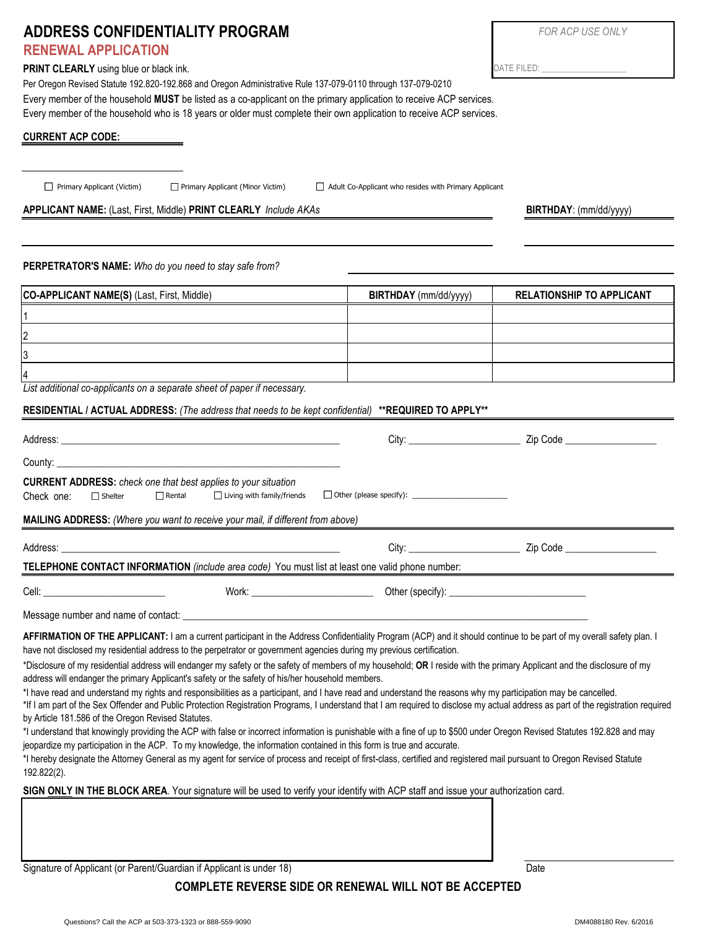| ADDRESS CONFIDENTIALITY PROGRAM                                                                                                                                                                                                                                                                                                                                                                                                                                                                                                                                                        |                                                       | <b>FOR ACP USE ONLY</b>          |  |
|----------------------------------------------------------------------------------------------------------------------------------------------------------------------------------------------------------------------------------------------------------------------------------------------------------------------------------------------------------------------------------------------------------------------------------------------------------------------------------------------------------------------------------------------------------------------------------------|-------------------------------------------------------|----------------------------------|--|
| <b>RENEWAL APPLICATION</b>                                                                                                                                                                                                                                                                                                                                                                                                                                                                                                                                                             |                                                       |                                  |  |
| <b>PRINT CLEARLY</b> using blue or black ink.                                                                                                                                                                                                                                                                                                                                                                                                                                                                                                                                          |                                                       |                                  |  |
| Per Oregon Revised Statute 192.820-192.868 and Oregon Administrative Rule 137-079-0110 through 137-079-0210<br>Every member of the household MUST be listed as a co-applicant on the primary application to receive ACP services.                                                                                                                                                                                                                                                                                                                                                      |                                                       |                                  |  |
| Every member of the household who is 18 years or older must complete their own application to receive ACP services.                                                                                                                                                                                                                                                                                                                                                                                                                                                                    |                                                       |                                  |  |
| <b>CURRENT ACP CODE:</b>                                                                                                                                                                                                                                                                                                                                                                                                                                                                                                                                                               |                                                       |                                  |  |
|                                                                                                                                                                                                                                                                                                                                                                                                                                                                                                                                                                                        |                                                       |                                  |  |
|                                                                                                                                                                                                                                                                                                                                                                                                                                                                                                                                                                                        |                                                       |                                  |  |
| Primary Applicant (Victim)<br>Primary Applicant (Minor Victim)                                                                                                                                                                                                                                                                                                                                                                                                                                                                                                                         | Adult Co-Applicant who resides with Primary Applicant |                                  |  |
| APPLICANT NAME: (Last, First, Middle) PRINT CLEARLY Include AKAs                                                                                                                                                                                                                                                                                                                                                                                                                                                                                                                       |                                                       | BIRTHDAY: (mm/dd/yyyy)           |  |
|                                                                                                                                                                                                                                                                                                                                                                                                                                                                                                                                                                                        |                                                       |                                  |  |
| PERPETRATOR'S NAME: Who do you need to stay safe from?                                                                                                                                                                                                                                                                                                                                                                                                                                                                                                                                 |                                                       |                                  |  |
|                                                                                                                                                                                                                                                                                                                                                                                                                                                                                                                                                                                        |                                                       |                                  |  |
| CO-APPLICANT NAME(S) (Last, First, Middle)                                                                                                                                                                                                                                                                                                                                                                                                                                                                                                                                             | BIRTHDAY (mm/dd/yyyy)                                 | <b>RELATIONSHIP TO APPLICANT</b> |  |
|                                                                                                                                                                                                                                                                                                                                                                                                                                                                                                                                                                                        |                                                       |                                  |  |
|                                                                                                                                                                                                                                                                                                                                                                                                                                                                                                                                                                                        |                                                       |                                  |  |
| 3                                                                                                                                                                                                                                                                                                                                                                                                                                                                                                                                                                                      |                                                       |                                  |  |
| List additional co-applicants on a separate sheet of paper if necessary.                                                                                                                                                                                                                                                                                                                                                                                                                                                                                                               |                                                       |                                  |  |
| RESIDENTIAL / ACTUAL ADDRESS: (The address that needs to be kept confidential) **REQUIRED TO APPLY**                                                                                                                                                                                                                                                                                                                                                                                                                                                                                   |                                                       |                                  |  |
|                                                                                                                                                                                                                                                                                                                                                                                                                                                                                                                                                                                        |                                                       |                                  |  |
|                                                                                                                                                                                                                                                                                                                                                                                                                                                                                                                                                                                        |                                                       |                                  |  |
|                                                                                                                                                                                                                                                                                                                                                                                                                                                                                                                                                                                        |                                                       |                                  |  |
| <b>CURRENT ADDRESS:</b> check one that best applies to your situation                                                                                                                                                                                                                                                                                                                                                                                                                                                                                                                  |                                                       |                                  |  |
| $\Box$ Living with family/friends<br>Check one:<br>$\Box$ Shelter<br>$\Box$ Rental                                                                                                                                                                                                                                                                                                                                                                                                                                                                                                     |                                                       |                                  |  |
| MAILING ADDRESS: (Where you want to receive your mail, if different from above)                                                                                                                                                                                                                                                                                                                                                                                                                                                                                                        |                                                       |                                  |  |
| Address: Andreas Address Address and Address Address Address Address Address Address Address Address Address A                                                                                                                                                                                                                                                                                                                                                                                                                                                                         |                                                       |                                  |  |
| TELEPHONE CONTACT INFORMATION (include area code) You must list at least one valid phone number:                                                                                                                                                                                                                                                                                                                                                                                                                                                                                       |                                                       |                                  |  |
|                                                                                                                                                                                                                                                                                                                                                                                                                                                                                                                                                                                        |                                                       |                                  |  |
|                                                                                                                                                                                                                                                                                                                                                                                                                                                                                                                                                                                        |                                                       |                                  |  |
| AFFIRMATION OF THE APPLICANT: I am a current participant in the Address Confidentiality Program (ACP) and it should continue to be part of my overall safety plan. I<br>have not disclosed my residential address to the perpetrator or government agencies during my previous certification.                                                                                                                                                                                                                                                                                          |                                                       |                                  |  |
| *Disclosure of my residential address will endanger my safety or the safety of members of my household; OR I reside with the primary Applicant and the disclosure of my<br>address will endanger the primary Applicant's safety or the safety of his/her household members.                                                                                                                                                                                                                                                                                                            |                                                       |                                  |  |
| *I have read and understand my rights and responsibilities as a participant, and I have read and understand the reasons why my participation may be cancelled.<br>*If I am part of the Sex Offender and Public Protection Registration Programs, I understand that I am required to disclose my actual address as part of the registration required<br>by Article 181.586 of the Oregon Revised Statutes.<br>*I understand that knowingly providing the ACP with false or incorrect information is punishable with a fine of up to \$500 under Oregon Revised Statutes 192.828 and may |                                                       |                                  |  |

\*I hereby designate the Attorney General as my agent for service of process and receipt of first-class, certified and registered mail pursuant to Oregon Revised Statute 192.822(2).

**SIGN ONLY IN THE BLOCK AREA**. Your signature will be used to verify your identify with ACP staff and issue your authorization card.

jeopardize my participation in the ACP. To my knowledge, the information contained in this form is true and accurate.

Signature of Applicant (or Parent/Guardian if Applicant is under 18) Date

## **COMPLETE REVERSE SIDE OR RENEWAL WILL NOT BE ACCEPTED**